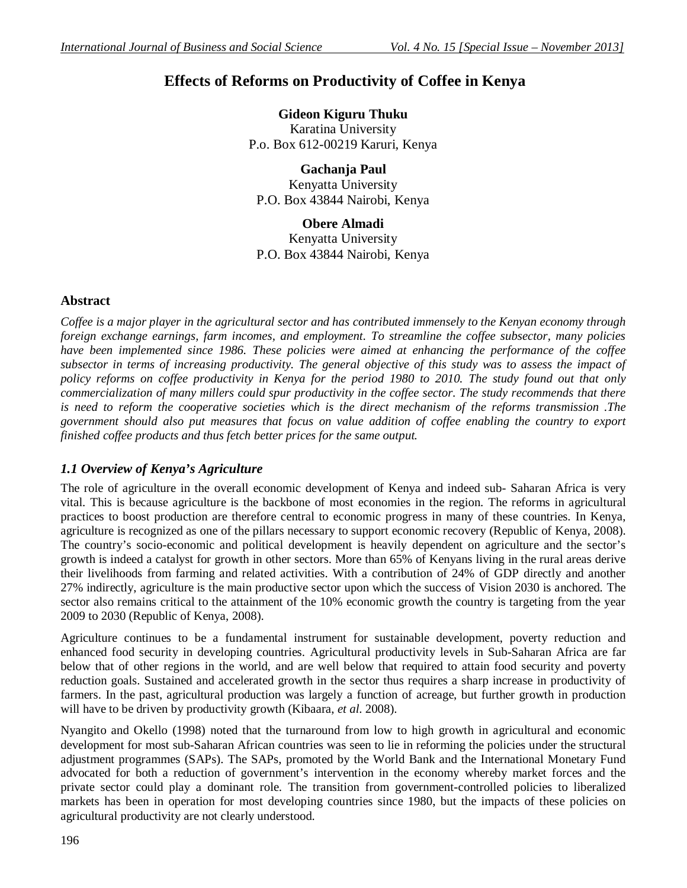# **Effects of Reforms on Productivity of Coffee in Kenya**

**Gideon Kiguru Thuku**  Karatina University P.o. Box 612-00219 Karuri, Kenya

**Gachanja Paul**  Kenyatta University P.O. Box 43844 Nairobi, Kenya

**Obere Almadi** 

Kenyatta University P.O. Box 43844 Nairobi, Kenya

# **Abstract**

*Coffee is a major player in the agricultural sector and has contributed immensely to the Kenyan economy through foreign exchange earnings, farm incomes, and employment. To streamline the coffee subsector, many policies have been implemented since 1986. These policies were aimed at enhancing the performance of the coffee subsector in terms of increasing productivity. The general objective of this study was to assess the impact of*  policy reforms on coffee productivity in Kenya for the period 1980 to 2010. The study found out that only *commercialization of many millers could spur productivity in the coffee sector. The study recommends that there is need to reform the cooperative societies which is the direct mechanism of the reforms transmission .The government should also put measures that focus on value addition of coffee enabling the country to export finished coffee products and thus fetch better prices for the same output.* 

# *1.1 Overview of Kenya's Agriculture*

The role of agriculture in the overall economic development of Kenya and indeed sub- Saharan Africa is very vital. This is because agriculture is the backbone of most economies in the region. The reforms in agricultural practices to boost production are therefore central to economic progress in many of these countries. In Kenya, agriculture is recognized as one of the pillars necessary to support economic recovery (Republic of Kenya, 2008). The country's socio-economic and political development is heavily dependent on agriculture and the sector's growth is indeed a catalyst for growth in other sectors. More than 65% of Kenyans living in the rural areas derive their livelihoods from farming and related activities. With a contribution of 24% of GDP directly and another 27% indirectly, agriculture is the main productive sector upon which the success of Vision 2030 is anchored. The sector also remains critical to the attainment of the 10% economic growth the country is targeting from the year 2009 to 2030 (Republic of Kenya, 2008).

Agriculture continues to be a fundamental instrument for sustainable development, poverty reduction and enhanced food security in developing countries. Agricultural productivity levels in Sub-Saharan Africa are far below that of other regions in the world, and are well below that required to attain food security and poverty reduction goals. Sustained and accelerated growth in the sector thus requires a sharp increase in productivity of farmers. In the past, agricultural production was largely a function of acreage, but further growth in production will have to be driven by productivity growth (Kibaara, *et al*. 2008).

Nyangito and Okello (1998) noted that the turnaround from low to high growth in agricultural and economic development for most sub-Saharan African countries was seen to lie in reforming the policies under the structural adjustment programmes (SAPs). The SAPs, promoted by the World Bank and the International Monetary Fund advocated for both a reduction of government's intervention in the economy whereby market forces and the private sector could play a dominant role. The transition from government-controlled policies to liberalized markets has been in operation for most developing countries since 1980, but the impacts of these policies on agricultural productivity are not clearly understood.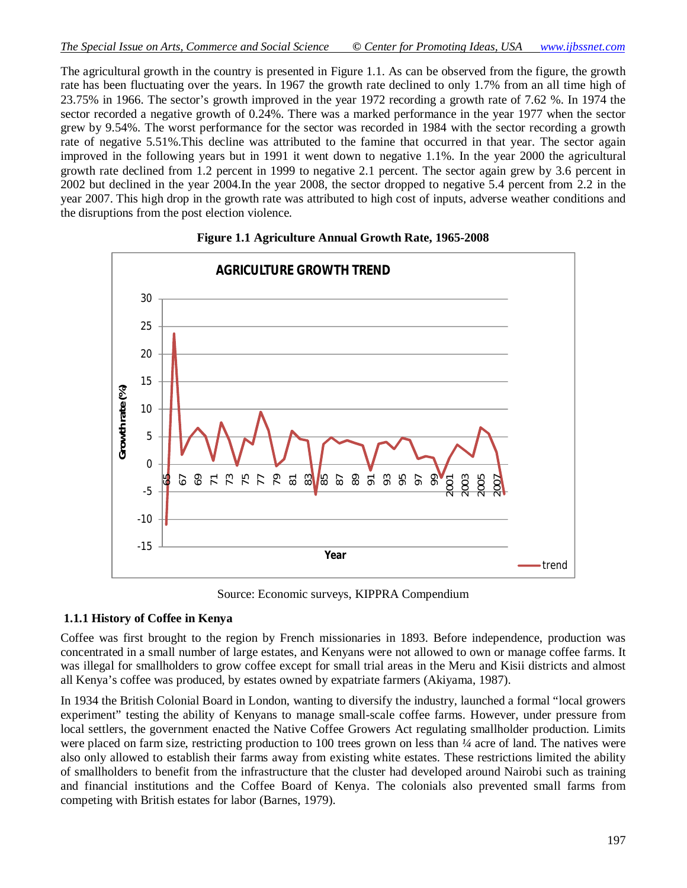The agricultural growth in the country is presented in Figure 1.1. As can be observed from the figure, the growth rate has been fluctuating over the years. In 1967 the growth rate declined to only 1.7% from an all time high of 23.75% in 1966. The sector's growth improved in the year 1972 recording a growth rate of 7.62 %. In 1974 the sector recorded a negative growth of 0.24%. There was a marked performance in the year 1977 when the sector grew by 9.54%. The worst performance for the sector was recorded in 1984 with the sector recording a growth rate of negative 5.51%.This decline was attributed to the famine that occurred in that year. The sector again improved in the following years but in 1991 it went down to negative 1.1%. In the year 2000 the agricultural growth rate declined from 1.2 percent in 1999 to negative 2.1 percent. The sector again grew by 3.6 percent in 2002 but declined in the year 2004.In the year 2008, the sector dropped to negative 5.4 percent from 2.2 in the year 2007. This high drop in the growth rate was attributed to high cost of inputs, adverse weather conditions and the disruptions from the post election violence.



#### **Figure 1.1 Agriculture Annual Growth Rate, 1965-2008**

Source: Economic surveys, KIPPRA Compendium

#### **1.1.1 History of Coffee in Kenya**

Coffee was first brought to the region by French missionaries in 1893. Before independence, production was concentrated in a small number of large estates, and Kenyans were not allowed to own or manage coffee farms. It was illegal for smallholders to grow coffee except for small trial areas in the Meru and Kisii districts and almost all Kenya's coffee was produced, by estates owned by expatriate farmers (Akiyama, 1987).

In 1934 the British Colonial Board in London, wanting to diversify the industry, launched a formal "local growers experiment" testing the ability of Kenyans to manage small-scale coffee farms. However, under pressure from local settlers, the government enacted the Native Coffee Growers Act regulating smallholder production. Limits were placed on farm size, restricting production to 100 trees grown on less than *¼* acre of land. The natives were also only allowed to establish their farms away from existing white estates. These restrictions limited the ability of smallholders to benefit from the infrastructure that the cluster had developed around Nairobi such as training and financial institutions and the Coffee Board of Kenya. The colonials also prevented small farms from competing with British estates for labor (Barnes, 1979).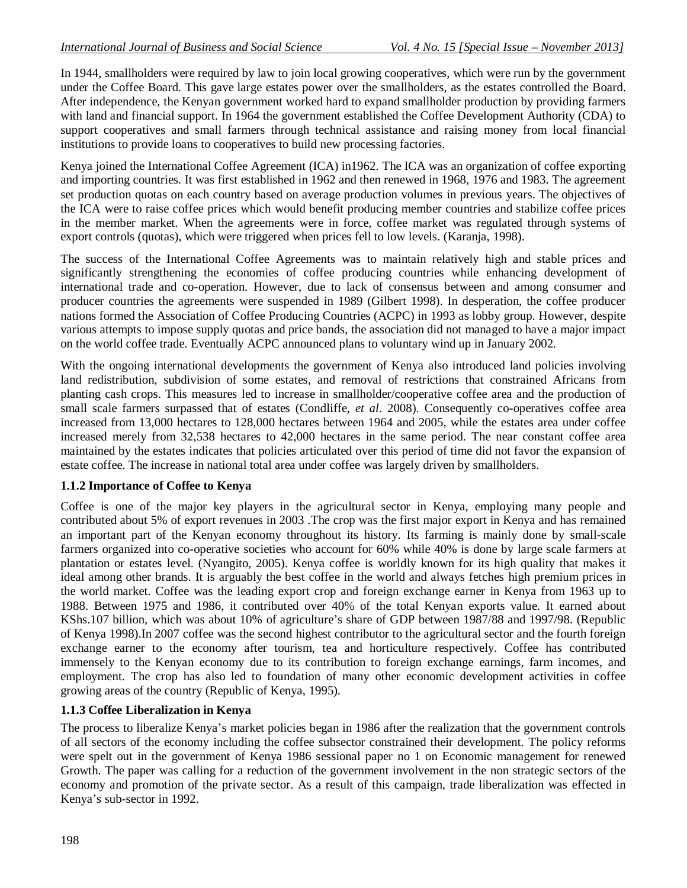In 1944, smallholders were required by law to join local growing cooperatives, which were run by the government under the Coffee Board. This gave large estates power over the smallholders, as the estates controlled the Board. After independence, the Kenyan government worked hard to expand smallholder production by providing farmers with land and financial support. In 1964 the government established the Coffee Development Authority (CDA) to support cooperatives and small farmers through technical assistance and raising money from local financial institutions to provide loans to cooperatives to build new processing factories.

Kenya joined the International Coffee Agreement (ICA) in1962. The ICA was an organization of coffee exporting and importing countries. It was first established in 1962 and then renewed in 1968, 1976 and 1983. The agreement set production quotas on each country based on average production volumes in previous years. The objectives of the ICA were to raise coffee prices which would benefit producing member countries and stabilize coffee prices in the member market. When the agreements were in force, coffee market was regulated through systems of export controls (quotas), which were triggered when prices fell to low levels. (Karanja, 1998).

The success of the International Coffee Agreements was to maintain relatively high and stable prices and significantly strengthening the economies of coffee producing countries while enhancing development of international trade and co-operation. However, due to lack of consensus between and among consumer and producer countries the agreements were suspended in 1989 (Gilbert 1998). In desperation, the coffee producer nations formed the Association of Coffee Producing Countries (ACPC) in 1993 as lobby group. However, despite various attempts to impose supply quotas and price bands, the association did not managed to have a major impact on the world coffee trade. Eventually ACPC announced plans to voluntary wind up in January 2002.

With the ongoing international developments the government of Kenya also introduced land policies involving land redistribution, subdivision of some estates, and removal of restrictions that constrained Africans from planting cash crops. This measures led to increase in smallholder/cooperative coffee area and the production of small scale farmers surpassed that of estates (Condliffe, *et al*. 2008). Consequently co-operatives coffee area increased from 13,000 hectares to 128,000 hectares between 1964 and 2005, while the estates area under coffee increased merely from 32,538 hectares to 42,000 hectares in the same period. The near constant coffee area maintained by the estates indicates that policies articulated over this period of time did not favor the expansion of estate coffee. The increase in national total area under coffee was largely driven by smallholders.

# **1.1.2 Importance of Coffee to Kenya**

Coffee is one of the major key players in the agricultural sector in Kenya, employing many people and contributed about 5% of export revenues in 2003 .The crop was the first major export in Kenya and has remained an important part of the Kenyan economy throughout its history. Its farming is mainly done by small-scale farmers organized into co-operative societies who account for 60% while 40% is done by large scale farmers at plantation or estates level. (Nyangito, 2005). Kenya coffee is worldly known for its high quality that makes it ideal among other brands. It is arguably the best coffee in the world and always fetches high premium prices in the world market. Coffee was the leading export crop and foreign exchange earner in Kenya from 1963 up to 1988. Between 1975 and 1986, it contributed over 40% of the total Kenyan exports value. It earned about KShs.107 billion, which was about 10% of agriculture's share of GDP between 1987/88 and 1997/98. (Republic of Kenya 1998).In 2007 coffee was the second highest contributor to the agricultural sector and the fourth foreign exchange earner to the economy after tourism, tea and horticulture respectively. Coffee has contributed immensely to the Kenyan economy due to its contribution to foreign exchange earnings, farm incomes, and employment. The crop has also led to foundation of many other economic development activities in coffee growing areas of the country (Republic of Kenya, 1995).

# **1.1.3 Coffee Liberalization in Kenya**

The process to liberalize Kenya's market policies began in 1986 after the realization that the government controls of all sectors of the economy including the coffee subsector constrained their development. The policy reforms were spelt out in the government of Kenya 1986 sessional paper no 1 on Economic management for renewed Growth. The paper was calling for a reduction of the government involvement in the non strategic sectors of the economy and promotion of the private sector. As a result of this campaign, trade liberalization was effected in Kenya's sub-sector in 1992.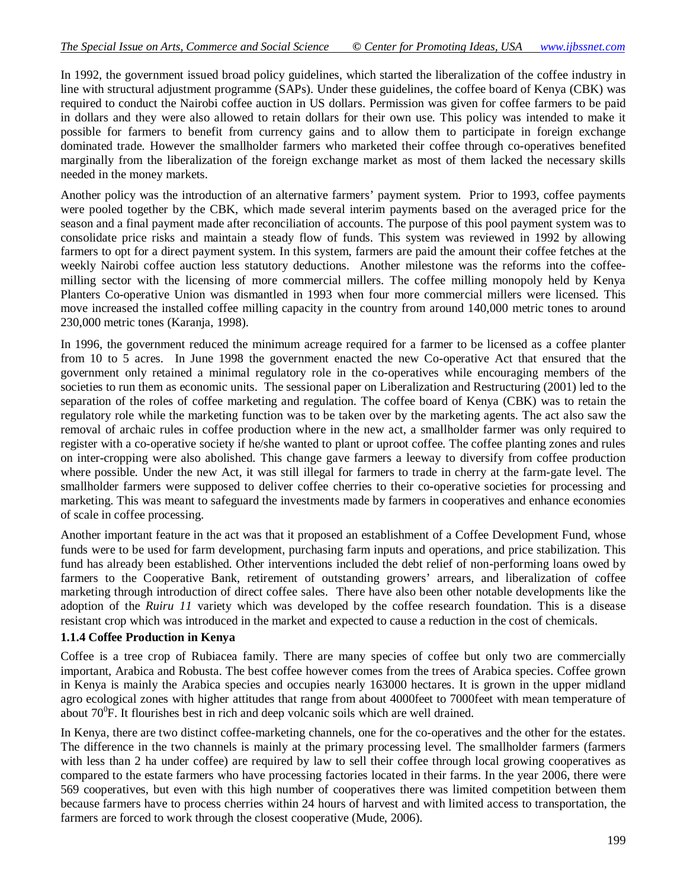In 1992, the government issued broad policy guidelines, which started the liberalization of the coffee industry in line with structural adjustment programme (SAPs). Under these guidelines, the coffee board of Kenya (CBK) was required to conduct the Nairobi coffee auction in US dollars. Permission was given for coffee farmers to be paid in dollars and they were also allowed to retain dollars for their own use. This policy was intended to make it possible for farmers to benefit from currency gains and to allow them to participate in foreign exchange dominated trade. However the smallholder farmers who marketed their coffee through co-operatives benefited marginally from the liberalization of the foreign exchange market as most of them lacked the necessary skills needed in the money markets.

Another policy was the introduction of an alternative farmers' payment system. Prior to 1993, coffee payments were pooled together by the CBK, which made several interim payments based on the averaged price for the season and a final payment made after reconciliation of accounts. The purpose of this pool payment system was to consolidate price risks and maintain a steady flow of funds. This system was reviewed in 1992 by allowing farmers to opt for a direct payment system. In this system, farmers are paid the amount their coffee fetches at the weekly Nairobi coffee auction less statutory deductions. Another milestone was the reforms into the coffeemilling sector with the licensing of more commercial millers. The coffee milling monopoly held by Kenya Planters Co-operative Union was dismantled in 1993 when four more commercial millers were licensed. This move increased the installed coffee milling capacity in the country from around 140,000 metric tones to around 230,000 metric tones (Karanja, 1998).

In 1996, the government reduced the minimum acreage required for a farmer to be licensed as a coffee planter from 10 to 5 acres. In June 1998 the government enacted the new Co-operative Act that ensured that the government only retained a minimal regulatory role in the co-operatives while encouraging members of the societies to run them as economic units. The sessional paper on Liberalization and Restructuring (2001) led to the separation of the roles of coffee marketing and regulation. The coffee board of Kenya (CBK) was to retain the regulatory role while the marketing function was to be taken over by the marketing agents. The act also saw the removal of archaic rules in coffee production where in the new act, a smallholder farmer was only required to register with a co-operative society if he/she wanted to plant or uproot coffee. The coffee planting zones and rules on inter-cropping were also abolished. This change gave farmers a leeway to diversify from coffee production where possible. Under the new Act, it was still illegal for farmers to trade in cherry at the farm-gate level. The smallholder farmers were supposed to deliver coffee cherries to their co-operative societies for processing and marketing. This was meant to safeguard the investments made by farmers in cooperatives and enhance economies of scale in coffee processing.

Another important feature in the act was that it proposed an establishment of a Coffee Development Fund, whose funds were to be used for farm development, purchasing farm inputs and operations, and price stabilization. This fund has already been established. Other interventions included the debt relief of non-performing loans owed by farmers to the Cooperative Bank, retirement of outstanding growers' arrears, and liberalization of coffee marketing through introduction of direct coffee sales. There have also been other notable developments like the adoption of the *Ruiru 11* variety which was developed by the coffee research foundation. This is a disease resistant crop which was introduced in the market and expected to cause a reduction in the cost of chemicals.

#### **1.1.4 Coffee Production in Kenya**

Coffee is a tree crop of Rubiacea family. There are many species of coffee but only two are commercially important, Arabica and Robusta. The best coffee however comes from the trees of Arabica species. Coffee grown in Kenya is mainly the Arabica species and occupies nearly 163000 hectares. It is grown in the upper midland agro ecological zones with higher attitudes that range from about 4000feet to 7000feet with mean temperature of about  $70^{\circ}$ F. It flourishes best in rich and deep volcanic soils which are well drained.

In Kenya, there are two distinct coffee-marketing channels, one for the co-operatives and the other for the estates. The difference in the two channels is mainly at the primary processing level. The smallholder farmers (farmers with less than 2 ha under coffee) are required by law to sell their coffee through local growing cooperatives as compared to the estate farmers who have processing factories located in their farms. In the year 2006, there were 569 cooperatives, but even with this high number of cooperatives there was limited competition between them because farmers have to process cherries within 24 hours of harvest and with limited access to transportation, the farmers are forced to work through the closest cooperative (Mude, 2006).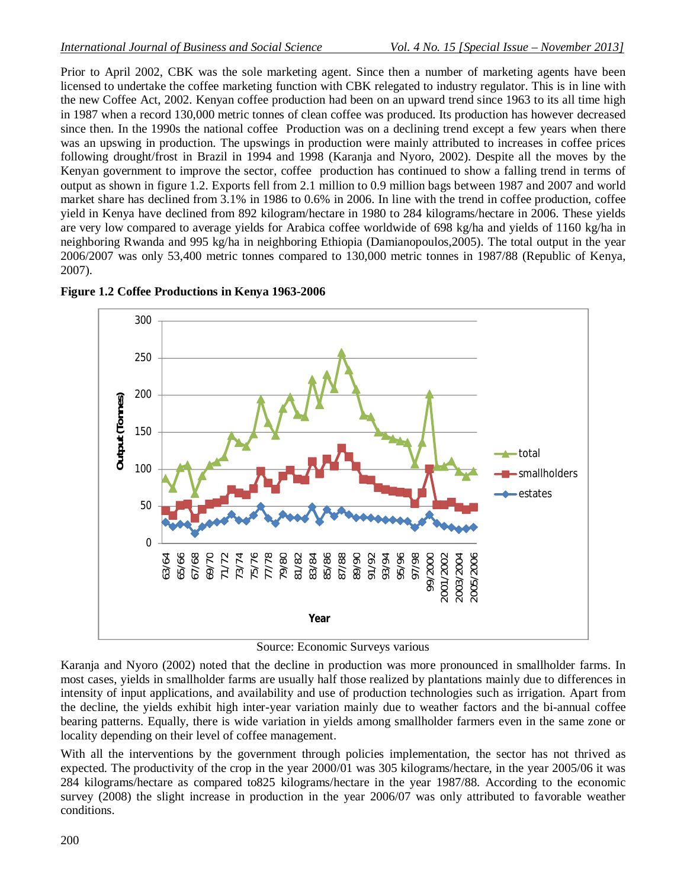Prior to April 2002, CBK was the sole marketing agent. Since then a number of marketing agents have been licensed to undertake the coffee marketing function with CBK relegated to industry regulator. This is in line with the new Coffee Act, 2002. Kenyan coffee production had been on an upward trend since 1963 to its all time high in 1987 when a record 130,000 metric tonnes of clean coffee was produced. Its production has however decreased since then. In the 1990s the national coffee Production was on a declining trend except a few years when there was an upswing in production. The upswings in production were mainly attributed to increases in coffee prices following drought/frost in Brazil in 1994 and 1998 (Karanja and Nyoro, 2002). Despite all the moves by the Kenyan government to improve the sector, coffee production has continued to show a falling trend in terms of output as shown in figure 1.2. Exports fell from 2.1 million to 0.9 million bags between 1987 and 2007 and world market share has declined from 3.1% in 1986 to 0.6% in 2006. In line with the trend in coffee production, coffee yield in Kenya have declined from 892 kilogram/hectare in 1980 to 284 kilograms/hectare in 2006. These yields are very low compared to average yields for Arabica coffee worldwide of 698 kg/ha and yields of 1160 kg/ha in neighboring Rwanda and 995 kg/ha in neighboring Ethiopia (Damianopoulos,2005). The total output in the year 2006/2007 was only 53,400 metric tonnes compared to 130,000 metric tonnes in 1987/88 (Republic of Kenya, 2007).



**Figure 1.2 Coffee Productions in Kenya 1963-2006**

Source: Economic Surveys various

Karanja and Nyoro (2002) noted that the decline in production was more pronounced in smallholder farms. In most cases, yields in smallholder farms are usually half those realized by plantations mainly due to differences in intensity of input applications, and availability and use of production technologies such as irrigation. Apart from the decline, the yields exhibit high inter-year variation mainly due to weather factors and the bi-annual coffee bearing patterns. Equally, there is wide variation in yields among smallholder farmers even in the same zone or locality depending on their level of coffee management.

With all the interventions by the government through policies implementation, the sector has not thrived as expected. The productivity of the crop in the year 2000/01 was 305 kilograms/hectare, in the year 2005/06 it was 284 kilograms/hectare as compared to825 kilograms/hectare in the year 1987/88. According to the economic survey (2008) the slight increase in production in the year 2006/07 was only attributed to favorable weather conditions.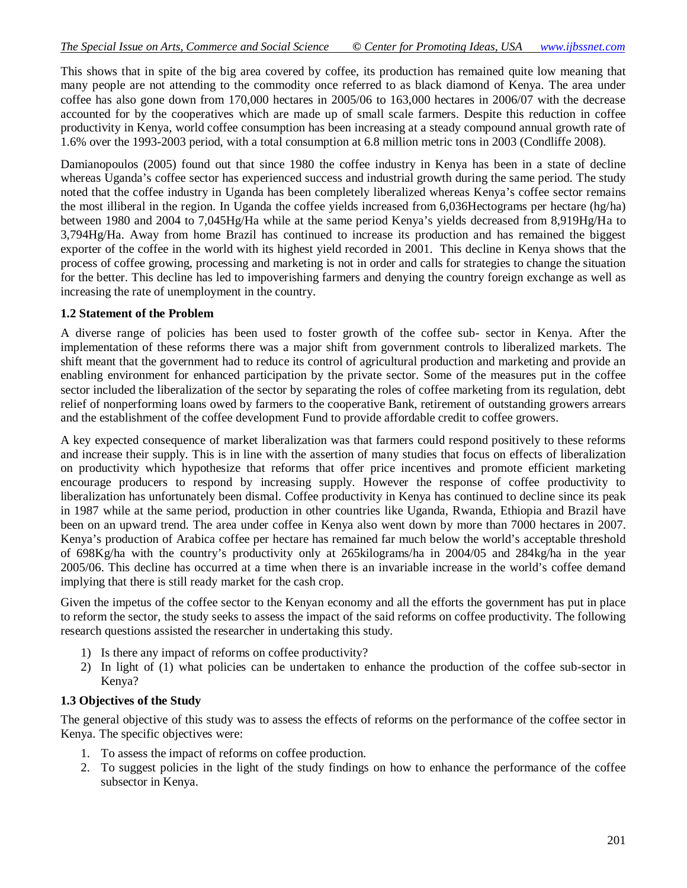This shows that in spite of the big area covered by coffee, its production has remained quite low meaning that many people are not attending to the commodity once referred to as black diamond of Kenya. The area under coffee has also gone down from 170,000 hectares in 2005/06 to 163,000 hectares in 2006/07 with the decrease accounted for by the cooperatives which are made up of small scale farmers. Despite this reduction in coffee productivity in Kenya, world coffee consumption has been increasing at a steady compound annual growth rate of 1.6% over the 1993-2003 period, with a total consumption at 6.8 million metric tons in 2003 (Condliffe 2008).

Damianopoulos (2005) found out that since 1980 the coffee industry in Kenya has been in a state of decline whereas Uganda's coffee sector has experienced success and industrial growth during the same period. The study noted that the coffee industry in Uganda has been completely liberalized whereas Kenya's coffee sector remains the most illiberal in the region. In Uganda the coffee yields increased from 6,036Hectograms per hectare (hg/ha) between 1980 and 2004 to 7,045Hg/Ha while at the same period Kenya's yields decreased from 8,919Hg/Ha to 3,794Hg/Ha. Away from home Brazil has continued to increase its production and has remained the biggest exporter of the coffee in the world with its highest yield recorded in 2001. This decline in Kenya shows that the process of coffee growing, processing and marketing is not in order and calls for strategies to change the situation for the better. This decline has led to impoverishing farmers and denying the country foreign exchange as well as increasing the rate of unemployment in the country.

#### **1.2 Statement of the Problem**

A diverse range of policies has been used to foster growth of the coffee sub- sector in Kenya. After the implementation of these reforms there was a major shift from government controls to liberalized markets. The shift meant that the government had to reduce its control of agricultural production and marketing and provide an enabling environment for enhanced participation by the private sector. Some of the measures put in the coffee sector included the liberalization of the sector by separating the roles of coffee marketing from its regulation, debt relief of nonperforming loans owed by farmers to the cooperative Bank, retirement of outstanding growers arrears and the establishment of the coffee development Fund to provide affordable credit to coffee growers.

A key expected consequence of market liberalization was that farmers could respond positively to these reforms and increase their supply. This is in line with the assertion of many studies that focus on effects of liberalization on productivity which hypothesize that reforms that offer price incentives and promote efficient marketing encourage producers to respond by increasing supply. However the response of coffee productivity to liberalization has unfortunately been dismal. Coffee productivity in Kenya has continued to decline since its peak in 1987 while at the same period, production in other countries like Uganda, Rwanda, Ethiopia and Brazil have been on an upward trend. The area under coffee in Kenya also went down by more than 7000 hectares in 2007. Kenya's production of Arabica coffee per hectare has remained far much below the world's acceptable threshold of 698Kg/ha with the country's productivity only at 265kilograms/ha in 2004/05 and 284kg/ha in the year 2005/06. This decline has occurred at a time when there is an invariable increase in the world's coffee demand implying that there is still ready market for the cash crop.

Given the impetus of the coffee sector to the Kenyan economy and all the efforts the government has put in place to reform the sector, the study seeks to assess the impact of the said reforms on coffee productivity. The following research questions assisted the researcher in undertaking this study.

- 1) Is there any impact of reforms on coffee productivity?
- 2) In light of (1) what policies can be undertaken to enhance the production of the coffee sub-sector in Kenya?

#### **1.3 Objectives of the Study**

The general objective of this study was to assess the effects of reforms on the performance of the coffee sector in Kenya. The specific objectives were:

- 1. To assess the impact of reforms on coffee production.
- 2. To suggest policies in the light of the study findings on how to enhance the performance of the coffee subsector in Kenya.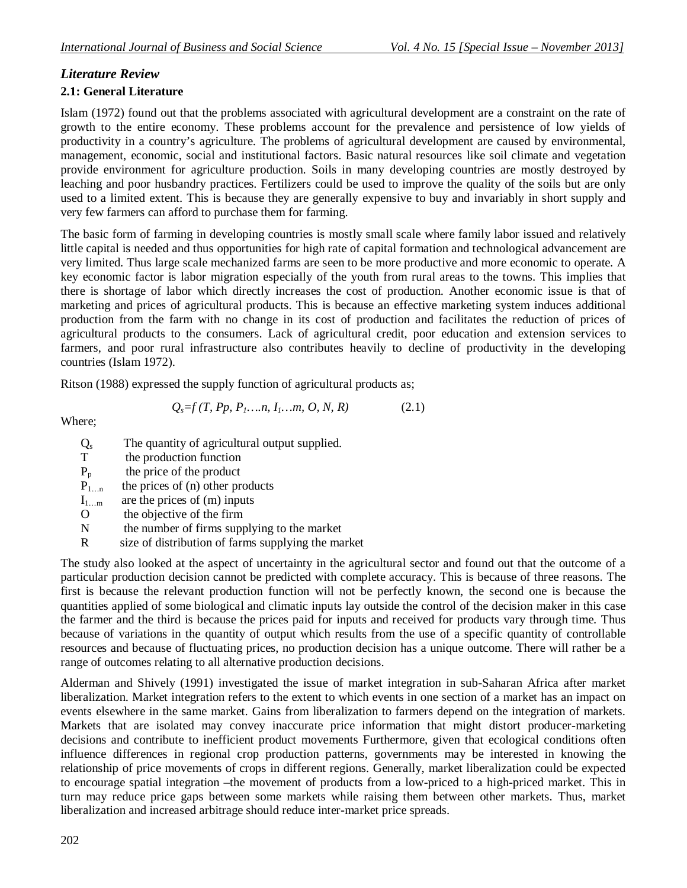# *Literature Review*

# **2.1: General Literature**

Islam (1972) found out that the problems associated with agricultural development are a constraint on the rate of growth to the entire economy. These problems account for the prevalence and persistence of low yields of productivity in a country's agriculture. The problems of agricultural development are caused by environmental, management, economic, social and institutional factors. Basic natural resources like soil climate and vegetation provide environment for agriculture production. Soils in many developing countries are mostly destroyed by leaching and poor husbandry practices. Fertilizers could be used to improve the quality of the soils but are only used to a limited extent. This is because they are generally expensive to buy and invariably in short supply and very few farmers can afford to purchase them for farming.

The basic form of farming in developing countries is mostly small scale where family labor issued and relatively little capital is needed and thus opportunities for high rate of capital formation and technological advancement are very limited. Thus large scale mechanized farms are seen to be more productive and more economic to operate. A key economic factor is labor migration especially of the youth from rural areas to the towns. This implies that there is shortage of labor which directly increases the cost of production. Another economic issue is that of marketing and prices of agricultural products. This is because an effective marketing system induces additional production from the farm with no change in its cost of production and facilitates the reduction of prices of agricultural products to the consumers. Lack of agricultural credit, poor education and extension services to farmers, and poor rural infrastructure also contributes heavily to decline of productivity in the developing countries (Islam 1972).

Ritson (1988) expressed the supply function of agricultural products as;

$$
Q_s = f(T, P_p, P_1, \dots, n, I_1, \dots, m, O, N, R) \tag{2.1}
$$

Where;

- $\frac{Q_s}{T}$ The quantity of agricultural output supplied.
- the production function
- $P_p$  the price of the product
- $P_{1...n}$  the prices of (n) other products
- $I_{1...m}$  are the prices of (m) inputs
- O the objective of the firm
- N the number of firms supplying to the market
- R size of distribution of farms supplying the market

The study also looked at the aspect of uncertainty in the agricultural sector and found out that the outcome of a particular production decision cannot be predicted with complete accuracy. This is because of three reasons. The first is because the relevant production function will not be perfectly known, the second one is because the quantities applied of some biological and climatic inputs lay outside the control of the decision maker in this case the farmer and the third is because the prices paid for inputs and received for products vary through time. Thus because of variations in the quantity of output which results from the use of a specific quantity of controllable resources and because of fluctuating prices, no production decision has a unique outcome. There will rather be a range of outcomes relating to all alternative production decisions.

Alderman and Shively (1991) investigated the issue of market integration in sub-Saharan Africa after market liberalization. Market integration refers to the extent to which events in one section of a market has an impact on events elsewhere in the same market. Gains from liberalization to farmers depend on the integration of markets. Markets that are isolated may convey inaccurate price information that might distort producer-marketing decisions and contribute to inefficient product movements Furthermore, given that ecological conditions often influence differences in regional crop production patterns, governments may be interested in knowing the relationship of price movements of crops in different regions. Generally, market liberalization could be expected to encourage spatial integration –the movement of products from a low-priced to a high-priced market. This in turn may reduce price gaps between some markets while raising them between other markets. Thus, market liberalization and increased arbitrage should reduce inter-market price spreads.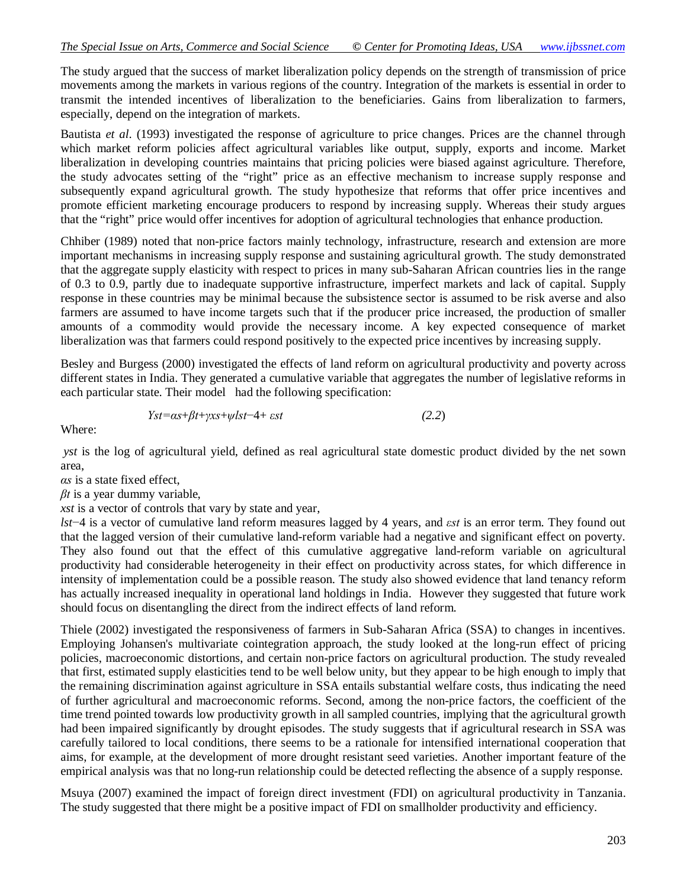The study argued that the success of market liberalization policy depends on the strength of transmission of price movements among the markets in various regions of the country. Integration of the markets is essential in order to transmit the intended incentives of liberalization to the beneficiaries. Gains from liberalization to farmers, especially, depend on the integration of markets.

Bautista *et al*. (1993) investigated the response of agriculture to price changes. Prices are the channel through which market reform policies affect agricultural variables like output, supply, exports and income. Market liberalization in developing countries maintains that pricing policies were biased against agriculture. Therefore, the study advocates setting of the "right" price as an effective mechanism to increase supply response and subsequently expand agricultural growth. The study hypothesize that reforms that offer price incentives and promote efficient marketing encourage producers to respond by increasing supply. Whereas their study argues that the "right" price would offer incentives for adoption of agricultural technologies that enhance production.

Chhiber (1989) noted that non-price factors mainly technology, infrastructure, research and extension are more important mechanisms in increasing supply response and sustaining agricultural growth. The study demonstrated that the aggregate supply elasticity with respect to prices in many sub-Saharan African countries lies in the range of 0.3 to 0.9, partly due to inadequate supportive infrastructure, imperfect markets and lack of capital. Supply response in these countries may be minimal because the subsistence sector is assumed to be risk averse and also farmers are assumed to have income targets such that if the producer price increased, the production of smaller amounts of a commodity would provide the necessary income. A key expected consequence of market liberalization was that farmers could respond positively to the expected price incentives by increasing supply.

Besley and Burgess (2000) investigated the effects of land reform on agricultural productivity and poverty across different states in India. They generated a cumulative variable that aggregates the number of legislative reforms in each particular state. Their model had the following specification:

$$
Yst = \alpha s + \beta t + \gamma x s + \psi lst - 4 + \varepsilon st \tag{2.2}
$$

Where:

*yst* is the log of agricultural yield, defined as real agricultural state domestic product divided by the net sown area,

*αs* is a state fixed effect,

*βt* is a year dummy variable,

*xst* is a vector of controls that vary by state and year,

*lst*−4 is a vector of cumulative land reform measures lagged by 4 years, and *εst* is an error term. They found out that the lagged version of their cumulative land-reform variable had a negative and significant effect on poverty. They also found out that the effect of this cumulative aggregative land-reform variable on agricultural productivity had considerable heterogeneity in their effect on productivity across states, for which difference in intensity of implementation could be a possible reason. The study also showed evidence that land tenancy reform has actually increased inequality in operational land holdings in India. However they suggested that future work should focus on disentangling the direct from the indirect effects of land reform.

Thiele (2002) investigated the responsiveness of farmers in Sub-Saharan Africa (SSA) to changes in incentives. Employing Johansen's multivariate cointegration approach, the study looked at the long-run effect of pricing policies, macroeconomic distortions, and certain non-price factors on agricultural production. The study revealed that first, estimated supply elasticities tend to be well below unity, but they appear to be high enough to imply that the remaining discrimination against agriculture in SSA entails substantial welfare costs, thus indicating the need of further agricultural and macroeconomic reforms. Second, among the non-price factors, the coefficient of the time trend pointed towards low productivity growth in all sampled countries, implying that the agricultural growth had been impaired significantly by drought episodes. The study suggests that if agricultural research in SSA was carefully tailored to local conditions, there seems to be a rationale for intensified international cooperation that aims, for example, at the development of more drought resistant seed varieties. Another important feature of the empirical analysis was that no long-run relationship could be detected reflecting the absence of a supply response.

Msuya (2007) examined the impact of foreign direct investment (FDI) on agricultural productivity in Tanzania. The study suggested that there might be a positive impact of FDI on smallholder productivity and efficiency.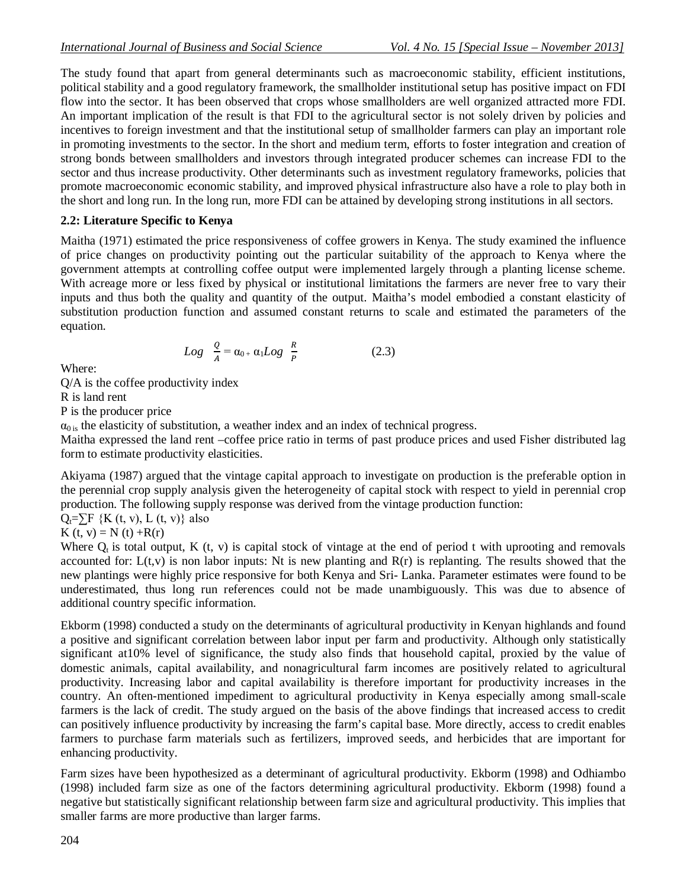The study found that apart from general determinants such as macroeconomic stability, efficient institutions, political stability and a good regulatory framework, the smallholder institutional setup has positive impact on FDI flow into the sector. It has been observed that crops whose smallholders are well organized attracted more FDI. An important implication of the result is that FDI to the agricultural sector is not solely driven by policies and incentives to foreign investment and that the institutional setup of smallholder farmers can play an important role in promoting investments to the sector. In the short and medium term, efforts to foster integration and creation of strong bonds between smallholders and investors through integrated producer schemes can increase FDI to the sector and thus increase productivity. Other determinants such as investment regulatory frameworks, policies that promote macroeconomic economic stability, and improved physical infrastructure also have a role to play both in the short and long run. In the long run, more FDI can be attained by developing strong institutions in all sectors.

# **2.2: Literature Specific to Kenya**

Maitha (1971) estimated the price responsiveness of coffee growers in Kenya. The study examined the influence of price changes on productivity pointing out the particular suitability of the approach to Kenya where the government attempts at controlling coffee output were implemented largely through a planting license scheme. With acreage more or less fixed by physical or institutional limitations the farmers are never free to vary their inputs and thus both the quality and quantity of the output. Maitha's model embodied a constant elasticity of substitution production function and assumed constant returns to scale and estimated the parameters of the equation.

$$
Log \frac{Q}{A} = \alpha_{0+} \alpha_1 Log \frac{R}{P}
$$
 (2.3)

Where:

Q/A is the coffee productivity index

R is land rent

P is the producer price

 $\alpha_{0}$  is the elasticity of substitution, a weather index and an index of technical progress.

Maitha expressed the land rent –coffee price ratio in terms of past produce prices and used Fisher distributed lag form to estimate productivity elasticities.

Akiyama (1987) argued that the vintage capital approach to investigate on production is the preferable option in the perennial crop supply analysis given the heterogeneity of capital stock with respect to yield in perennial crop production. The following supply response was derived from the vintage production function:

 $Q_t = \sum F \{K(t, v), L(t, v)\}$  also

K (t, v) = N (t) + R(r)

Where  $Q_t$  is total output, K (t, v) is capital stock of vintage at the end of period t with uprooting and removals accounted for:  $L(t, v)$  is non labor inputs: Nt is new planting and  $R(r)$  is replanting. The results showed that the new plantings were highly price responsive for both Kenya and Sri- Lanka. Parameter estimates were found to be underestimated, thus long run references could not be made unambiguously. This was due to absence of additional country specific information.

Ekborm (1998) conducted a study on the determinants of agricultural productivity in Kenyan highlands and found a positive and significant correlation between labor input per farm and productivity. Although only statistically significant at10% level of significance, the study also finds that household capital, proxied by the value of domestic animals, capital availability, and nonagricultural farm incomes are positively related to agricultural productivity. Increasing labor and capital availability is therefore important for productivity increases in the country. An often-mentioned impediment to agricultural productivity in Kenya especially among small-scale farmers is the lack of credit. The study argued on the basis of the above findings that increased access to credit can positively influence productivity by increasing the farm's capital base. More directly, access to credit enables farmers to purchase farm materials such as fertilizers, improved seeds, and herbicides that are important for enhancing productivity.

Farm sizes have been hypothesized as a determinant of agricultural productivity. Ekborm (1998) and Odhiambo (1998) included farm size as one of the factors determining agricultural productivity. Ekborm (1998) found a negative but statistically significant relationship between farm size and agricultural productivity. This implies that smaller farms are more productive than larger farms.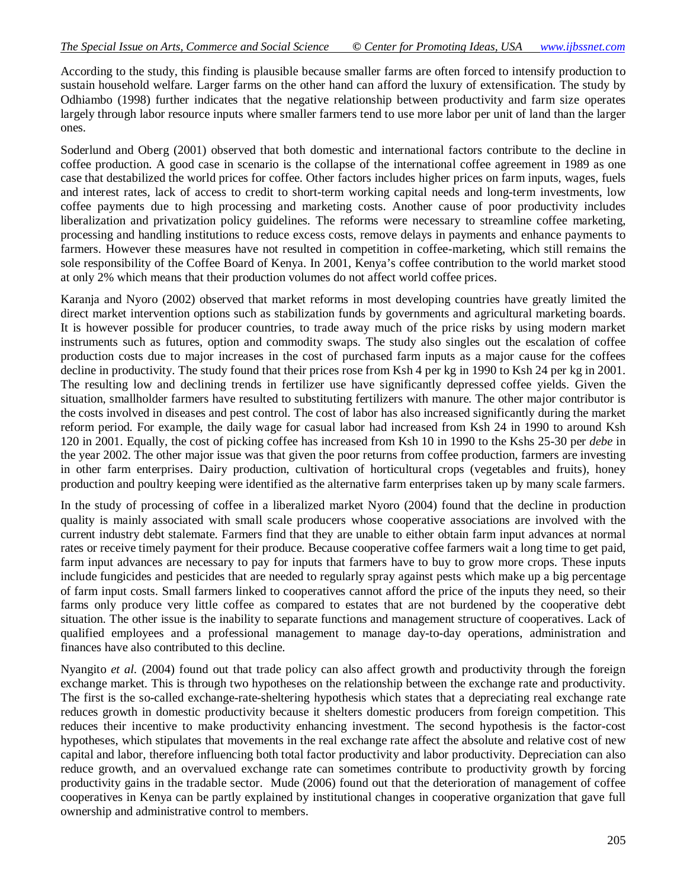According to the study, this finding is plausible because smaller farms are often forced to intensify production to sustain household welfare. Larger farms on the other hand can afford the luxury of extensification. The study by Odhiambo (1998) further indicates that the negative relationship between productivity and farm size operates largely through labor resource inputs where smaller farmers tend to use more labor per unit of land than the larger ones.

Soderlund and Oberg (2001) observed that both domestic and international factors contribute to the decline in coffee production. A good case in scenario is the collapse of the international coffee agreement in 1989 as one case that destabilized the world prices for coffee. Other factors includes higher prices on farm inputs, wages, fuels and interest rates, lack of access to credit to short-term working capital needs and long-term investments, low coffee payments due to high processing and marketing costs. Another cause of poor productivity includes liberalization and privatization policy guidelines. The reforms were necessary to streamline coffee marketing, processing and handling institutions to reduce excess costs, remove delays in payments and enhance payments to farmers. However these measures have not resulted in competition in coffee-marketing, which still remains the sole responsibility of the Coffee Board of Kenya. In 2001, Kenya's coffee contribution to the world market stood at only 2% which means that their production volumes do not affect world coffee prices.

Karanja and Nyoro (2002) observed that market reforms in most developing countries have greatly limited the direct market intervention options such as stabilization funds by governments and agricultural marketing boards. It is however possible for producer countries, to trade away much of the price risks by using modern market instruments such as futures, option and commodity swaps. The study also singles out the escalation of coffee production costs due to major increases in the cost of purchased farm inputs as a major cause for the coffees decline in productivity. The study found that their prices rose from Ksh 4 per kg in 1990 to Ksh 24 per kg in 2001. The resulting low and declining trends in fertilizer use have significantly depressed coffee yields. Given the situation, smallholder farmers have resulted to substituting fertilizers with manure. The other major contributor is the costs involved in diseases and pest control. The cost of labor has also increased significantly during the market reform period. For example, the daily wage for casual labor had increased from Ksh 24 in 1990 to around Ksh 120 in 2001. Equally, the cost of picking coffee has increased from Ksh 10 in 1990 to the Kshs 25-30 per *debe* in the year 2002. The other major issue was that given the poor returns from coffee production, farmers are investing in other farm enterprises. Dairy production, cultivation of horticultural crops (vegetables and fruits), honey production and poultry keeping were identified as the alternative farm enterprises taken up by many scale farmers.

In the study of processing of coffee in a liberalized market Nyoro (2004) found that the decline in production quality is mainly associated with small scale producers whose cooperative associations are involved with the current industry debt stalemate. Farmers find that they are unable to either obtain farm input advances at normal rates or receive timely payment for their produce. Because cooperative coffee farmers wait a long time to get paid, farm input advances are necessary to pay for inputs that farmers have to buy to grow more crops. These inputs include fungicides and pesticides that are needed to regularly spray against pests which make up a big percentage of farm input costs. Small farmers linked to cooperatives cannot afford the price of the inputs they need, so their farms only produce very little coffee as compared to estates that are not burdened by the cooperative debt situation. The other issue is the inability to separate functions and management structure of cooperatives. Lack of qualified employees and a professional management to manage day-to-day operations, administration and finances have also contributed to this decline.

Nyangito *et al.* (2004) found out that trade policy can also affect growth and productivity through the foreign exchange market. This is through two hypotheses on the relationship between the exchange rate and productivity. The first is the so-called exchange-rate-sheltering hypothesis which states that a depreciating real exchange rate reduces growth in domestic productivity because it shelters domestic producers from foreign competition. This reduces their incentive to make productivity enhancing investment. The second hypothesis is the factor-cost hypotheses, which stipulates that movements in the real exchange rate affect the absolute and relative cost of new capital and labor, therefore influencing both total factor productivity and labor productivity. Depreciation can also reduce growth, and an overvalued exchange rate can sometimes contribute to productivity growth by forcing productivity gains in the tradable sector. Mude (2006) found out that the deterioration of management of coffee cooperatives in Kenya can be partly explained by institutional changes in cooperative organization that gave full ownership and administrative control to members.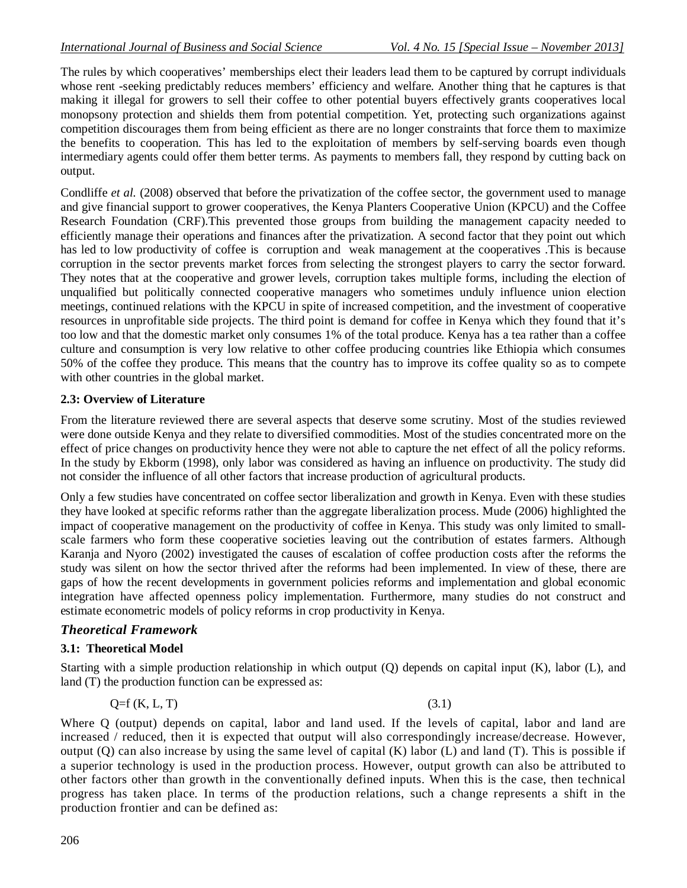The rules by which cooperatives' memberships elect their leaders lead them to be captured by corrupt individuals whose rent -seeking predictably reduces members' efficiency and welfare. Another thing that he captures is that making it illegal for growers to sell their coffee to other potential buyers effectively grants cooperatives local monopsony protection and shields them from potential competition. Yet, protecting such organizations against competition discourages them from being efficient as there are no longer constraints that force them to maximize the benefits to cooperation. This has led to the exploitation of members by self-serving boards even though intermediary agents could offer them better terms. As payments to members fall, they respond by cutting back on output.

Condliffe *et al.* (2008) observed that before the privatization of the coffee sector, the government used to manage and give financial support to grower cooperatives, the Kenya Planters Cooperative Union (KPCU) and the Coffee Research Foundation (CRF).This prevented those groups from building the management capacity needed to efficiently manage their operations and finances after the privatization. A second factor that they point out which has led to low productivity of coffee is corruption and weak management at the cooperatives .This is because corruption in the sector prevents market forces from selecting the strongest players to carry the sector forward. They notes that at the cooperative and grower levels, corruption takes multiple forms, including the election of unqualified but politically connected cooperative managers who sometimes unduly influence union election meetings, continued relations with the KPCU in spite of increased competition, and the investment of cooperative resources in unprofitable side projects. The third point is demand for coffee in Kenya which they found that it's too low and that the domestic market only consumes 1% of the total produce. Kenya has a tea rather than a coffee culture and consumption is very low relative to other coffee producing countries like Ethiopia which consumes 50% of the coffee they produce. This means that the country has to improve its coffee quality so as to compete with other countries in the global market.

# **2.3: Overview of Literature**

From the literature reviewed there are several aspects that deserve some scrutiny. Most of the studies reviewed were done outside Kenya and they relate to diversified commodities. Most of the studies concentrated more on the effect of price changes on productivity hence they were not able to capture the net effect of all the policy reforms. In the study by Ekborm (1998), only labor was considered as having an influence on productivity. The study did not consider the influence of all other factors that increase production of agricultural products.

Only a few studies have concentrated on coffee sector liberalization and growth in Kenya. Even with these studies they have looked at specific reforms rather than the aggregate liberalization process. Mude (2006) highlighted the impact of cooperative management on the productivity of coffee in Kenya. This study was only limited to smallscale farmers who form these cooperative societies leaving out the contribution of estates farmers. Although Karanja and Nyoro (2002) investigated the causes of escalation of coffee production costs after the reforms the study was silent on how the sector thrived after the reforms had been implemented. In view of these, there are gaps of how the recent developments in government policies reforms and implementation and global economic integration have affected openness policy implementation. Furthermore, many studies do not construct and estimate econometric models of policy reforms in crop productivity in Kenya.

# *Theoretical Framework*

# **3.1: Theoretical Model**

Starting with a simple production relationship in which output (Q) depends on capital input (K), labor (L), and land (T) the production function can be expressed as:

$$
Q=f(K, L, T) \tag{3.1}
$$

Where Q (output) depends on capital, labor and land used. If the levels of capital, labor and land are increased / reduced, then it is expected that output will also correspondingly increase/decrease. However, output  $(Q)$  can also increase by using the same level of capital  $(K)$  labor  $(L)$  and land  $(T)$ . This is possible if a superior technology is used in the production process. However, output growth can also be attributed to other factors other than growth in the conventionally defined inputs. When this is the case, then technical progress has taken place. In terms of the production relations, such a change represents a shift in the production frontier and can be defined as: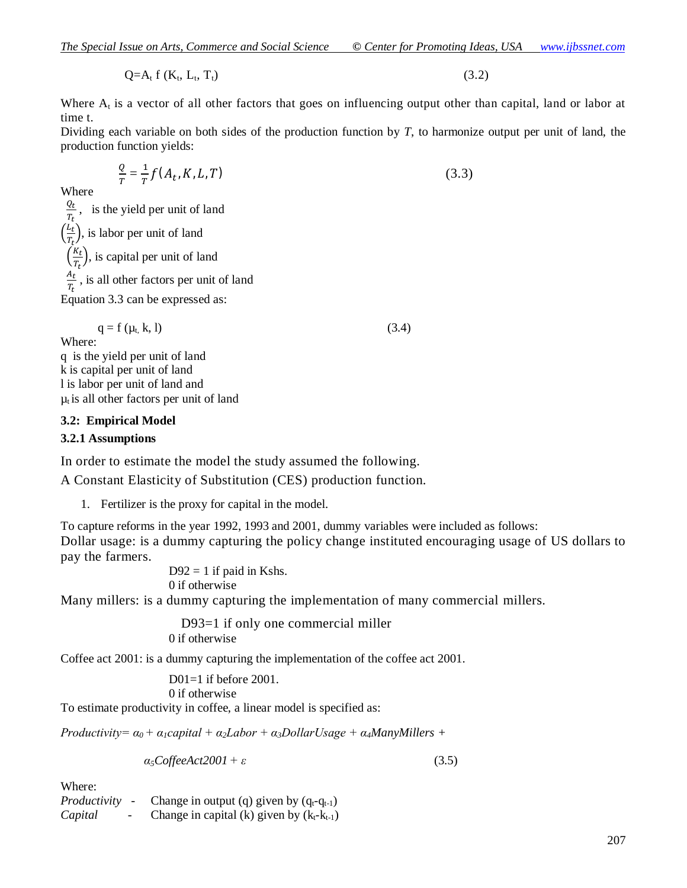$Q=A_t f(K_t, L_t)$ ,  $T_t$ ) (3.2)

Where  $A_t$  is a vector of all other factors that goes on influencing output other than capital, land or labor at time t.

Dividing each variable on both sides of the production function by *T*, to harmonize output per unit of land, the production function yields:

$$
\frac{Q}{T} = \frac{1}{T} f(A_t, K, L, T) \tag{3.3}
$$

Where

 $Q_t$  $\frac{dt}{T_t}$ , is the yield per unit of land  $\frac{L_t}{T}$  $\frac{E_t}{T_t}$ , is labor per unit of land  $\frac{K_t}{T}$  $\frac{\partial h_t}{\partial t}$ , is capital per unit of land

 $A_t$  $\frac{\partial t}{\partial t}$ , is all other factors per unit of land

Equation 3.3 can be expressed as:

 $q = f(\mu_t, k, l)$  (3.4)

Where: q is the yield per unit of land k is capital per unit of land l is labor per unit of land and  $\mu_t$  is all other factors per unit of land

#### **3.2: Empirical Model**

#### **3.2.1 Assumptions**

In order to estimate the model the study assumed the following.

A Constant Elasticity of Substitution (CES) production function.

1. Fertilizer is the proxy for capital in the model.

To capture reforms in the year 1992, 1993 and 2001, dummy variables were included as follows: Dollar usage: is a dummy capturing the policy change instituted encouraging usage of US dollars to pay the farmers.

 $D92 = 1$  if paid in Kshs. 0 if otherwise

Many millers: is a dummy capturing the implementation of many commercial millers.

 D93=1 if only one commercial miller 0 if otherwise

Coffee act 2001: is a dummy capturing the implementation of the coffee act 2001.

D01=1 if before 2001. 0 if otherwise

To estimate productivity in coffee, a linear model is specified as:

*Productivity=*  $\alpha_0$  +  $\alpha_1$ *capital* +  $\alpha_2$ *Labor* +  $\alpha_3$ *DollarUsage* +  $\alpha_4$ *ManyMillers* +

$$
\alpha_5\text{CoffeeAct2001} + \varepsilon \tag{3.5}
$$

Where:

*Productivity* - Change in output (q) given by  $(q_t - q_{t-1})$ *Capital* - Change in capital (k) given by  $(k_t - k_{t-1})$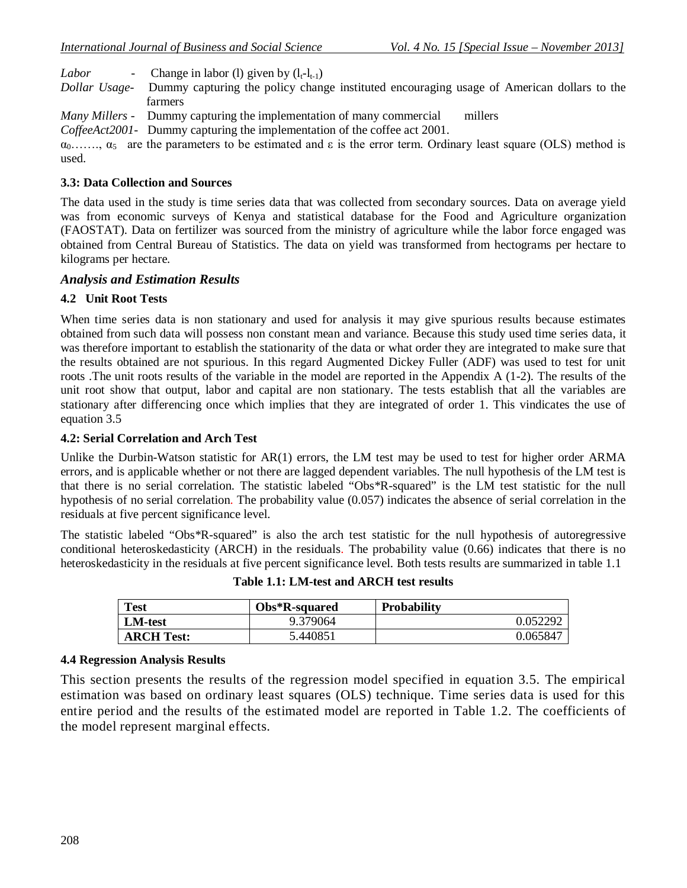*Labor* - Change in labor (1) given by  $(l_t-l_{t-1})$ 

*Dollar Usage*- Dummy capturing the policy change instituted encouraging usage of American dollars to the farmers

*Many Millers* - Dummy capturing the implementation of many commercial millers

*CoffeeAct2001*- Dummy capturing the implementation of the coffee act 2001.

 $\alpha_0$ ......,  $\alpha_5$  are the parameters to be estimated and  $\varepsilon$  is the error term. Ordinary least square (OLS) method is used.

#### **3.3: Data Collection and Sources**

The data used in the study is time series data that was collected from secondary sources. Data on average yield was from economic surveys of Kenya and statistical database for the Food and Agriculture organization (FAOSTAT). Data on fertilizer was sourced from the ministry of agriculture while the labor force engaged was obtained from Central Bureau of Statistics. The data on yield was transformed from hectograms per hectare to kilograms per hectare.

#### *Analysis and Estimation Results*

# **4.2 Unit Root Tests**

When time series data is non stationary and used for analysis it may give spurious results because estimates obtained from such data will possess non constant mean and variance. Because this study used time series data, it was therefore important to establish the stationarity of the data or what order they are integrated to make sure that the results obtained are not spurious. In this regard Augmented Dickey Fuller (ADF) was used to test for unit roots .The unit roots results of the variable in the model are reported in the Appendix A (1-2). The results of the unit root show that output, labor and capital are non stationary. The tests establish that all the variables are stationary after differencing once which implies that they are integrated of order 1. This vindicates the use of equation 3.5

# **4.2: Serial Correlation and Arch Test**

Unlike the Durbin-Watson statistic for AR(1) errors, the LM test may be used to test for higher order ARMA errors, and is applicable whether or not there are lagged dependent variables. The null hypothesis of the LM test is that there is no serial correlation. The statistic labeled "Obs\*R-squared" is the LM test statistic for the null hypothesis of no serial correlation. The probability value (0.057) indicates the absence of serial correlation in the residuals at five percent significance level.

The statistic labeled "Obs\*R-squared" is also the arch test statistic for the null hypothesis of autoregressive conditional heteroskedasticity (ARCH) in the residuals. The probability value (0.66) indicates that there is no heteroskedasticity in the residuals at five percent significance level. Both tests results are summarized in table 1.1

| <b>Test</b>       | Obs*R-squared | <b>Probability</b> |
|-------------------|---------------|--------------------|
| <b>LM-test</b>    | 9.379064      | 0.052292           |
| <b>ARCH Test:</b> | 5.440851      | 0.065847           |

**Table 1.1: LM-test and ARCH test results**

#### **4.4 Regression Analysis Results**

This section presents the results of the regression model specified in equation 3.5. The empirical estimation was based on ordinary least squares (OLS) technique. Time series data is used for this entire period and the results of the estimated model are reported in Table 1.2. The coefficients of the model represent marginal effects.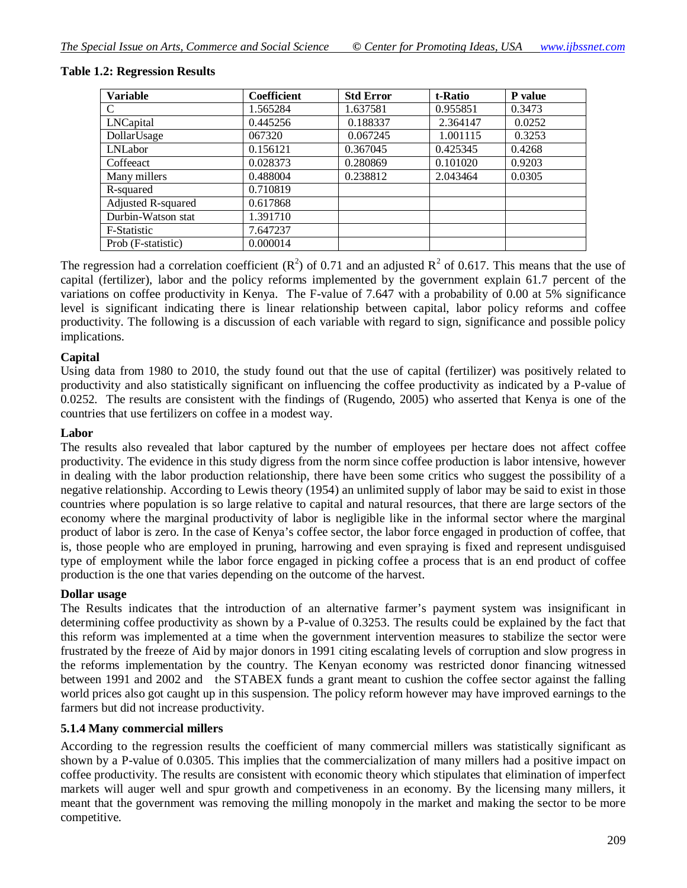| <b>Variable</b>    | <b>Coefficient</b> | <b>Std Error</b> | t-Ratio  | P value |
|--------------------|--------------------|------------------|----------|---------|
| C                  | 1.565284           | 1.637581         | 0.955851 | 0.3473  |
| LNCapital          | 0.445256           | 0.188337         | 2.364147 | 0.0252  |
| DollarUsage        | 067320             | 0.067245         | 1.001115 | 0.3253  |
| LNLabor            | 0.156121           | 0.367045         | 0.425345 | 0.4268  |
| Coffeeact          | 0.028373           | 0.280869         | 0.101020 | 0.9203  |
| Many millers       | 0.488004           | 0.238812         | 2.043464 | 0.0305  |
| R-squared          | 0.710819           |                  |          |         |
| Adjusted R-squared | 0.617868           |                  |          |         |
| Durbin-Watson stat | 1.391710           |                  |          |         |
| F-Statistic        | 7.647237           |                  |          |         |
| Prob (F-statistic) | 0.000014           |                  |          |         |

#### **Table 1.2: Regression Results**

The regression had a correlation coefficient ( $\mathbb{R}^2$ ) of 0.71 and an adjusted  $\mathbb{R}^2$  of 0.617. This means that the use of capital (fertilizer), labor and the policy reforms implemented by the government explain 61.7 percent of the variations on coffee productivity in Kenya. The F-value of 7.647 with a probability of 0.00 at 5% significance level is significant indicating there is linear relationship between capital, labor policy reforms and coffee productivity. The following is a discussion of each variable with regard to sign, significance and possible policy implications.

#### **Capital**

Using data from 1980 to 2010, the study found out that the use of capital (fertilizer) was positively related to productivity and also statistically significant on influencing the coffee productivity as indicated by a P-value of 0.0252. The results are consistent with the findings of (Rugendo, 2005) who asserted that Kenya is one of the countries that use fertilizers on coffee in a modest way.

#### **Labor**

The results also revealed that labor captured by the number of employees per hectare does not affect coffee productivity. The evidence in this study digress from the norm since coffee production is labor intensive, however in dealing with the labor production relationship, there have been some critics who suggest the possibility of a negative relationship. According to Lewis theory (1954) an unlimited supply of labor may be said to exist in those countries where population is so large relative to capital and natural resources, that there are large sectors of the economy where the marginal productivity of labor is negligible like in the informal sector where the marginal product of labor is zero. In the case of Kenya's coffee sector, the labor force engaged in production of coffee, that is, those people who are employed in pruning, harrowing and even spraying is fixed and represent undisguised type of employment while the labor force engaged in picking coffee a process that is an end product of coffee production is the one that varies depending on the outcome of the harvest.

#### **Dollar usage**

The Results indicates that the introduction of an alternative farmer's payment system was insignificant in determining coffee productivity as shown by a P-value of 0.3253. The results could be explained by the fact that this reform was implemented at a time when the government intervention measures to stabilize the sector were frustrated by the freeze of Aid by major donors in 1991 citing escalating levels of corruption and slow progress in the reforms implementation by the country. The Kenyan economy was restricted donor financing witnessed between 1991 and 2002 and the STABEX funds a grant meant to cushion the coffee sector against the falling world prices also got caught up in this suspension. The policy reform however may have improved earnings to the farmers but did not increase productivity.

#### **5.1.4 Many commercial millers**

According to the regression results the coefficient of many commercial millers was statistically significant as shown by a P-value of 0.0305. This implies that the commercialization of many millers had a positive impact on coffee productivity. The results are consistent with economic theory which stipulates that elimination of imperfect markets will auger well and spur growth and competiveness in an economy. By the licensing many millers, it meant that the government was removing the milling monopoly in the market and making the sector to be more competitive.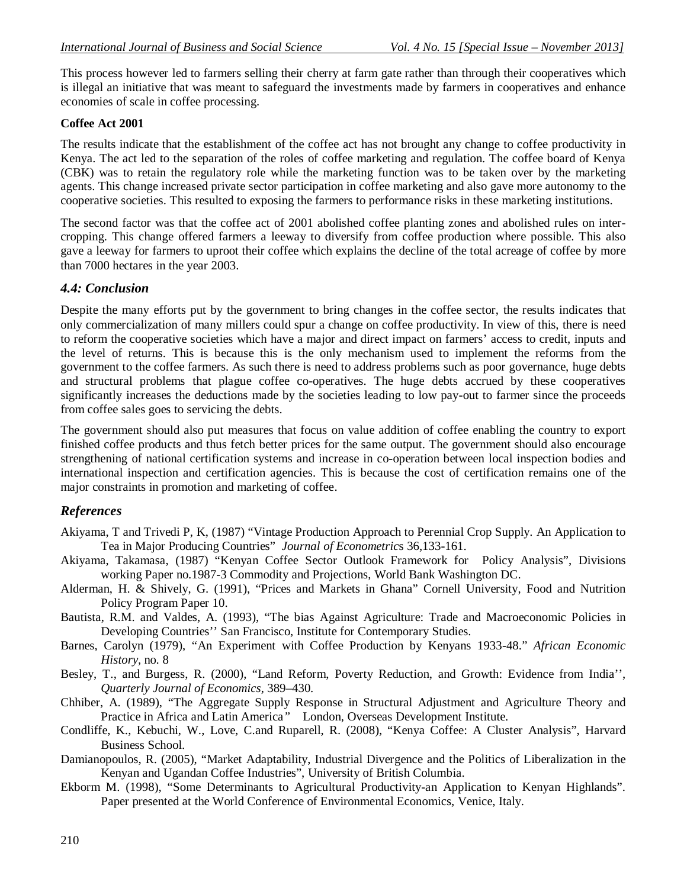This process however led to farmers selling their cherry at farm gate rather than through their cooperatives which is illegal an initiative that was meant to safeguard the investments made by farmers in cooperatives and enhance economies of scale in coffee processing.

#### **Coffee Act 2001**

The results indicate that the establishment of the coffee act has not brought any change to coffee productivity in Kenya. The act led to the separation of the roles of coffee marketing and regulation. The coffee board of Kenya (CBK) was to retain the regulatory role while the marketing function was to be taken over by the marketing agents. This change increased private sector participation in coffee marketing and also gave more autonomy to the cooperative societies. This resulted to exposing the farmers to performance risks in these marketing institutions.

The second factor was that the coffee act of 2001 abolished coffee planting zones and abolished rules on intercropping. This change offered farmers a leeway to diversify from coffee production where possible. This also gave a leeway for farmers to uproot their coffee which explains the decline of the total acreage of coffee by more than 7000 hectares in the year 2003.

# *4.4: Conclusion*

Despite the many efforts put by the government to bring changes in the coffee sector, the results indicates that only commercialization of many millers could spur a change on coffee productivity. In view of this, there is need to reform the cooperative societies which have a major and direct impact on farmers' access to credit, inputs and the level of returns. This is because this is the only mechanism used to implement the reforms from the government to the coffee farmers. As such there is need to address problems such as poor governance, huge debts and structural problems that plague coffee co-operatives. The huge debts accrued by these cooperatives significantly increases the deductions made by the societies leading to low pay-out to farmer since the proceeds from coffee sales goes to servicing the debts.

The government should also put measures that focus on value addition of coffee enabling the country to export finished coffee products and thus fetch better prices for the same output. The government should also encourage strengthening of national certification systems and increase in co-operation between local inspection bodies and international inspection and certification agencies. This is because the cost of certification remains one of the major constraints in promotion and marketing of coffee.

# *References*

- Akiyama, T and Trivedi P, K, (1987) "Vintage Production Approach to Perennial Crop Supply. An Application to Tea in Major Producing Countries" *Journal of Econometric*s 36,133-161.
- Akiyama, Takamasa, (1987) "Kenyan Coffee Sector Outlook Framework for Policy Analysis", Divisions working Paper no.1987-3 Commodity and Projections, World Bank Washington DC.
- Alderman, H. & Shively, G. (1991), "Prices and Markets in Ghana" Cornell University, Food and Nutrition Policy Program Paper 10.
- Bautista, R.M. and Valdes, A. (1993), "The bias Against Agriculture: Trade and Macroeconomic Policies in Developing Countries'' San Francisco, Institute for Contemporary Studies.
- Barnes, Carolyn (1979), "An Experiment with Coffee Production by Kenyans 1933-48." *African Economic History,* no. 8
- Besley, T., and Burgess, R. (2000), "Land Reform, Poverty Reduction, and Growth: Evidence from India'', *Quarterly Journal of Economics*, 389–430.
- Chhiber, A. (1989), "The Aggregate Supply Response in Structural Adjustment and Agriculture Theory and Practice in Africa and Latin America*"* London, Overseas Development Institute.
- Condliffe, K., Kebuchi, W., Love, C.and Ruparell, R. (2008), "Kenya Coffee: A Cluster Analysis", Harvard Business School.
- Damianopoulos, R. (2005), "Market Adaptability, Industrial Divergence and the Politics of Liberalization in the Kenyan and Ugandan Coffee Industries", University of British Columbia.
- Ekborm M. (1998), "Some Determinants to Agricultural Productivity-an Application to Kenyan Highlands". Paper presented at the World Conference of Environmental Economics, Venice, Italy.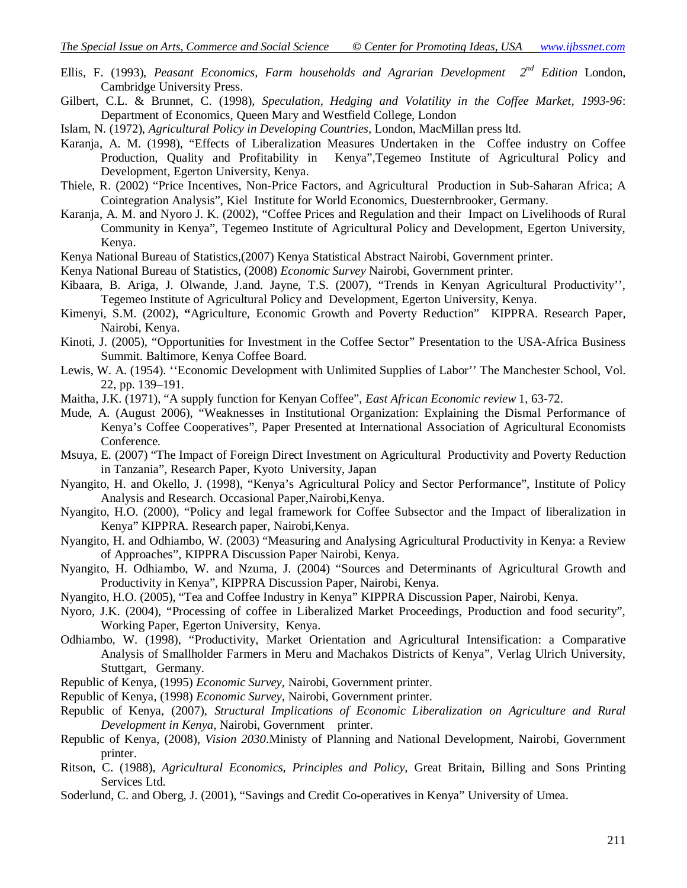- Ellis, F. (1993), *Peasant Economics, Farm households and Agrarian Development* 2<sup>nd</sup> Edition London, Cambridge University Press.
- Gilbert, C.L. & Brunnet, C. (1998), *Speculation, Hedging and Volatility in the Coffee Market, 1993-96*: Department of Economics, Queen Mary and Westfield College, London
- Islam, N. (1972), *Agricultural Policy in Developing Countries,* London, MacMillan press ltd.
- Karanja, A. M. (1998), "Effects of Liberalization Measures Undertaken in the Coffee industry on Coffee Production, Quality and Profitability in Kenya",Tegemeo Institute of Agricultural Policy and Development, Egerton University, Kenya.
- Thiele, R. (2002) "Price Incentives, Non-Price Factors, and Agricultural Production in Sub-Saharan Africa; A Cointegration Analysis", Kiel Institute for World Economics, Duesternbrooker, Germany.
- Karanja, A. M. and Nyoro J. K. (2002), "Coffee Prices and Regulation and their Impact on Livelihoods of Rural Community in Kenya", Tegemeo Institute of Agricultural Policy and Development, Egerton University, Kenya.
- Kenya National Bureau of Statistics,(2007) Kenya Statistical Abstract Nairobi, Government printer.
- Kenya National Bureau of Statistics, (2008) *Economic Survey* Nairobi, Government printer.
- Kibaara, B. Ariga, J. Olwande, J.and. Jayne, T.S. (2007), "Trends in Kenyan Agricultural Productivity'', Tegemeo Institute of Agricultural Policy and Development, Egerton University, Kenya.
- Kimenyi, S.M. (2002), **"**Agriculture, Economic Growth and Poverty Reduction" KIPPRA. Research Paper, Nairobi, Kenya.
- Kinoti, J. (2005), "Opportunities for Investment in the Coffee Sector" Presentation to the USA-Africa Business Summit. Baltimore, Kenya Coffee Board.
- Lewis, W. A. (1954). ''Economic Development with Unlimited Supplies of Labor'' The Manchester School, Vol. 22, pp. 139–191.
- Maitha, J.K. (1971), "A supply function for Kenyan Coffee", *East African Economic review* 1, 63-72.
- Mude, A. (August 2006), "Weaknesses in Institutional Organization: Explaining the Dismal Performance of Kenya's Coffee Cooperatives", Paper Presented at International Association of Agricultural Economists Conference.
- Msuya, E. (2007) "The Impact of Foreign Direct Investment on Agricultural Productivity and Poverty Reduction in Tanzania", Research Paper, Kyoto University, Japan
- Nyangito, H. and Okello, J. (1998), "Kenya's Agricultural Policy and Sector Performance", Institute of Policy Analysis and Research. Occasional Paper,Nairobi,Kenya.
- Nyangito, H.O. (2000), "Policy and legal framework for Coffee Subsector and the Impact of liberalization in Kenya" KIPPRA. Research paper, Nairobi,Kenya.
- Nyangito, H. and Odhiambo, W. (2003) "Measuring and Analysing Agricultural Productivity in Kenya: a Review of Approaches", KIPPRA Discussion Paper Nairobi, Kenya.
- Nyangito, H. Odhiambo, W. and Nzuma, J. (2004) "Sources and Determinants of Agricultural Growth and Productivity in Kenya", KIPPRA Discussion Paper, Nairobi, Kenya.
- Nyangito, H.O. (2005), "Tea and Coffee Industry in Kenya" KIPPRA Discussion Paper, Nairobi, Kenya.
- Nyoro, J.K. (2004), "Processing of coffee in Liberalized Market Proceedings, Production and food security", Working Paper, Egerton University, Kenya.
- Odhiambo, W. (1998), "Productivity, Market Orientation and Agricultural Intensification: a Comparative Analysis of Smallholder Farmers in Meru and Machakos Districts of Kenya", Verlag Ulrich University, Stuttgart, Germany.
- Republic of Kenya, (1995) *Economic Survey,* Nairobi, Government printer.
- Republic of Kenya, (1998) *Economic Survey,* Nairobi, Government printer.
- Republic of Kenya, (2007), *Structural Implications of Economic Liberalization on Agriculture and Rural Development in Kenya,* Nairobi, Government printer.
- Republic of Kenya, (2008), *Vision 2030*.Ministy of Planning and National Development, Nairobi, Government printer.
- Ritson, C. (1988), *Agricultural Economics, Principles and Policy,* Great Britain, Billing and Sons Printing Services Ltd.
- Soderlund, C. and Oberg, J. (2001), "Savings and Credit Co-operatives in Kenya" University of Umea.